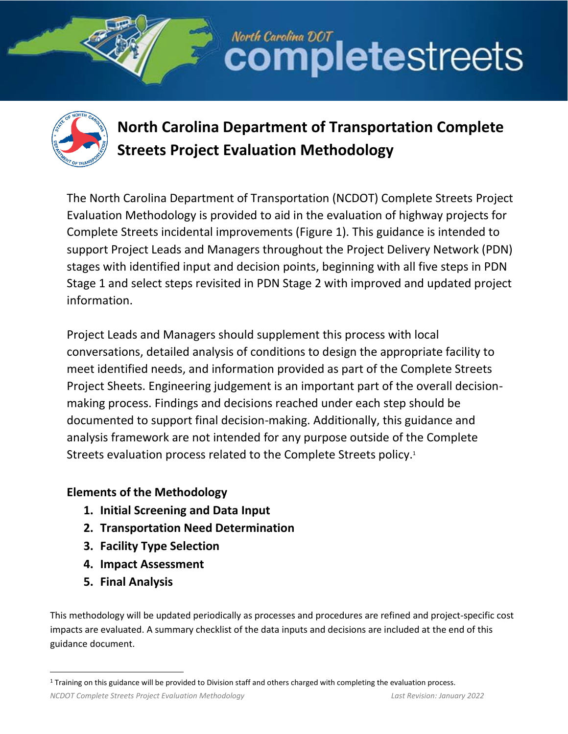



# **North Carolina Department of Transportation Complete Streets Project Evaluation Methodology**

North Carolina DOT<br>COMPletestreets

The North Carolina Department of Transportation (NCDOT) Complete Streets Project Evaluation Methodology is provided to aid in the evaluation of highway projects for Complete Streets incidental improvements [\(Figure 1\)](#page-1-0). This guidance is intended to support Project Leads and Managers throughout the Project Delivery Network (PDN) stages with identified input and decision points, beginning with all five steps in PDN Stage 1 and select steps revisited in PDN Stage 2 with improved and updated project information.

Project Leads and Managers should supplement this process with local conversations, detailed analysis of conditions to design the appropriate facility to meet identified needs, and information provided as part of the Complete Streets Project Sheets. Engineering judgement is an important part of the overall decisionmaking process. Findings and decisions reached under each step should be documented to support final decision-making. Additionally, this guidance and analysis framework are not intended for any purpose outside of the Complete Streets evaluation process related to the Complete Streets policy.<sup>1</sup>

# **Elements of the Methodology**

- **1. Initial Screening and Data Input**
- **2. Transportation Need Determination**
- **3. Facility Type Selection**
- **4. Impact Assessment**
- **5. Final Analysis**

This methodology will be updated periodically as processes and procedures are refined and project-specific cost impacts are evaluated. A summary checklist of the data inputs and decisions are included at the end of this guidance document.

*NCDOT Complete Streets Project Evaluation Methodology Last Revision: January 2022*

<sup>1</sup> Training on this guidance will be provided to Division staff and others charged with completing the evaluation process.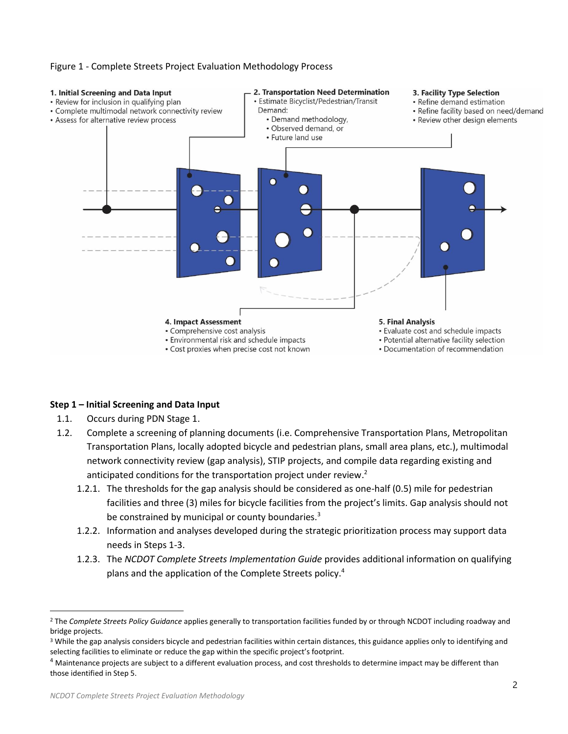<span id="page-1-0"></span>



## **Step 1 – Initial Screening and Data Input**

- 1.1. Occurs during PDN Stage 1.
- 1.2. Complete a screening of planning documents (i.e. Comprehensive Transportation Plans, Metropolitan Transportation Plans, locally adopted bicycle and pedestrian plans, small area plans, etc.), multimodal network connectivity review (gap analysis), STIP projects, and compile data regarding existing and anticipated conditions for the transportation project under review.<sup>2</sup>
	- 1.2.1. The thresholds for the gap analysis should be considered as one-half (0.5) mile for pedestrian facilities and three (3) miles for bicycle facilities from the project's limits. Gap analysis should not be constrained by municipal or county boundaries.<sup>3</sup>
	- 1.2.2. Information and analyses developed during the strategic prioritization process may support data needs in Steps 1-3.
	- 1.2.3. The *NCDOT Complete Streets Implementation Guide* provides additional information on qualifying plans and the application of the Complete Streets policy.<sup>4</sup>

<sup>2</sup> The *Complete Streets Policy Guidance* applies generally to transportation facilities funded by or through NCDOT including roadway and bridge projects.

<sup>&</sup>lt;sup>3</sup> While the gap analysis considers bicycle and pedestrian facilities within certain distances, this guidance applies only to identifying and selecting facilities to eliminate or reduce the gap within the specific project's footprint.

<sup>&</sup>lt;sup>4</sup> Maintenance projects are subject to a different evaluation process, and cost thresholds to determine impact may be different than those identified in Step 5.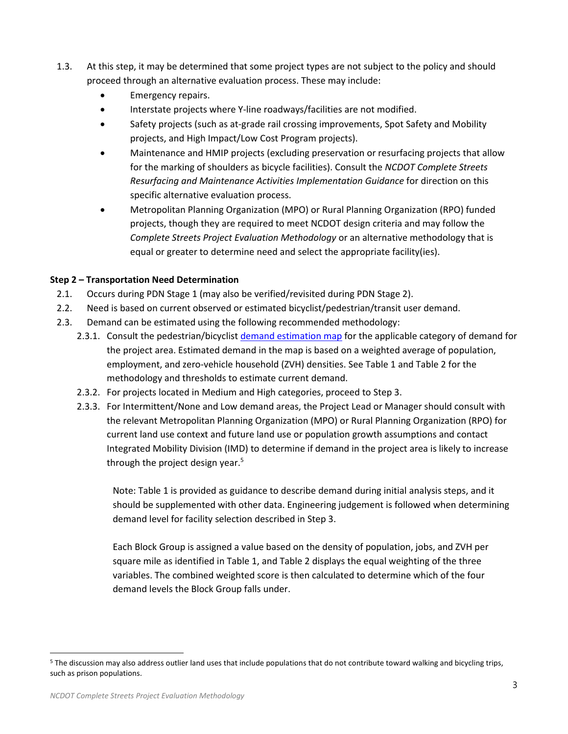- 1.3. At this step, it may be determined that some project types are not subject to the policy and should proceed through an alternative evaluation process. These may include:
	- Emergency repairs.
	- Interstate projects where Y-line roadways/facilities are not modified.
	- Safety projects (such as at-grade rail crossing improvements, Spot Safety and Mobility projects, and High Impact/Low Cost Program projects).
	- Maintenance and HMIP projects (excluding preservation or resurfacing projects that allow for the marking of shoulders as bicycle facilities). Consult the *NCDOT Complete Streets Resurfacing and Maintenance Activities Implementation Guidance* for direction on this specific alternative evaluation process.
	- Metropolitan Planning Organization (MPO) or Rural Planning Organization (RPO) funded projects, though they are required to meet NCDOT design criteria and may follow the *Complete Streets Project Evaluation Methodology* or an alternative methodology that is equal or greater to determine need and select the appropriate facility(ies).

# **Step 2 – Transportation Need Determination**

- 2.1. Occurs during PDN Stage 1 (may also be verified/revisited during PDN Stage 2).
- 2.2. Need is based on current observed or estimated bicyclist/pedestrian/transit user demand.
- 2.3. Demand can be estimated using the following recommended methodology:
	- 2.3.1. Consult the pedestrian/bicyclist [demand estimation map](https://www.arcgis.com/apps/webappviewer/index.html?id=4d99643ea1354c0e9e8ad27243983bc4) for the applicable category of demand for the project area. Estimated demand in the map is based on a weighted average of population, employment, and zero-vehicle household (ZVH) densities. See [Table 1](#page-3-0) an[d Table 2](#page-3-1) for the methodology and thresholds to estimate current demand.
	- 2.3.2. For projects located in Medium and High categories, proceed to Step 3.
	- 2.3.3. For Intermittent/None and Low demand areas, the Project Lead or Manager should consult with the relevant Metropolitan Planning Organization (MPO) or Rural Planning Organization (RPO) for current land use context and future land use or population growth assumptions and contact Integrated Mobility Division (IMD) to determine if demand in the project area is likely to increase through the project design year.<sup>5</sup>

Note: Table 1 is provided as guidance to describe demand during initial analysis steps, and it should be supplemented with other data. Engineering judgement is followed when determining demand level for facility selection described in Step 3.

Each Block Group is assigned a value based on the density of population, jobs, and ZVH per square mile as identified i[n Table 1,](#page-3-0) an[d Table 2](#page-3-1) displays the equal weighting of the three variables. The combined weighted score is then calculated to determine which of the four demand levels the Block Group falls under.

<sup>5</sup> The discussion may also address outlier land uses that include populations that do not contribute toward walking and bicycling trips, such as prison populations.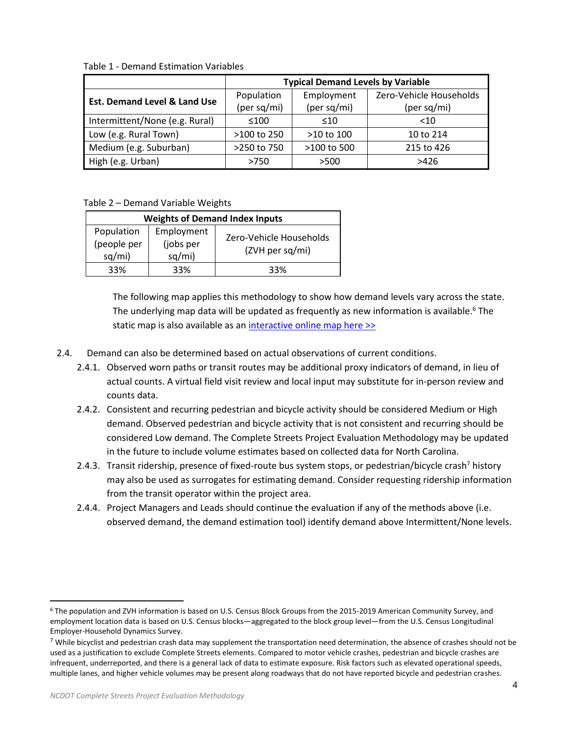|                                         | <b>Typical Demand Levels by Variable</b> |                |                         |  |
|-----------------------------------------|------------------------------------------|----------------|-------------------------|--|
| <b>Est. Demand Level &amp; Land Use</b> | Population                               | Employment     | Zero-Vehicle Households |  |
|                                         | (per sq/mi)                              | (per sq/mi)    | (per sq/mi)             |  |
| Intermittent/None (e.g. Rural)          | $\leq 100$                               | $\leq 10$      | $<$ 10                  |  |
| Low (e.g. Rural Town)                   | $>100$ to 250                            | $>10$ to $100$ | 10 to 214               |  |
| Medium (e.g. Suburban)                  | >250 to 750                              | >100 to 500    | 215 to 426              |  |
| High (e.g. Urban)                       | >750                                     | >500           | >426                    |  |

<span id="page-3-0"></span>Table 1 - Demand Estimation Variables

#### <span id="page-3-1"></span>Table 2 – Demand Variable Weights

| <b>Weights of Demand Index Inputs</b>                                    |     |                                            |  |  |  |
|--------------------------------------------------------------------------|-----|--------------------------------------------|--|--|--|
| Population<br>Employment<br>(people per<br>(jobs per<br>sq/mi)<br>sq/mi) |     | Zero-Vehicle Households<br>(ZVH per sq/mi) |  |  |  |
| 33%                                                                      | २२% | 33%                                        |  |  |  |

The following map applies this methodology to show how demand levels vary across the state. The underlying map data will be updated as frequently as new information is available.<sup>6</sup> The static map is also available as an [interactive online map here >>](https://www.arcgis.com/apps/webappviewer/index.html?id=4d99643ea1354c0e9e8ad27243983bc4)

- 2.4. Demand can also be determined based on actual observations of current conditions.
	- 2.4.1. Observed worn paths or transit routes may be additional proxy indicators of demand, in lieu of actual counts. A virtual field visit review and local input may substitute for in-person review and counts data.
	- 2.4.2. Consistent and recurring pedestrian and bicycle activity should be considered Medium or High demand. Observed pedestrian and bicycle activity that is not consistent and recurring should be considered Low demand. The Complete Streets Project Evaluation Methodology may be updated in the future to include volume estimates based on collected data for North Carolina.
	- 2.4.3. Transit ridership, presence of fixed-route bus system stops, or pedestrian/bicycle crash<sup>7</sup> history may also be used as surrogates for estimating demand. Consider requesting ridership information from the transit operator within the project area.
	- 2.4.4. Project Managers and Leads should continue the evaluation if any of the methods above (i.e. observed demand, the demand estimation tool) identify demand above Intermittent/None levels.

<sup>6</sup> The population and ZVH information is based on U.S. Census Block Groups from the 2015-2019 American Community Survey, and employment location data is based on U.S. Census blocks—aggregated to the block group level—from the U.S. Census Longitudinal Employer-Household Dynamics Survey.

 $<sup>7</sup>$  While bicyclist and pedestrian crash data may supplement the transportation need determination, the absence of crashes should not be</sup> used as a justification to exclude Complete Streets elements. Compared to motor vehicle crashes, pedestrian and bicycle crashes are infrequent, underreported, and there is a general lack of data to estimate exposure. Risk factors such as elevated operational speeds, multiple lanes, and higher vehicle volumes may be present along roadways that do not have reported bicycle and pedestrian crashes.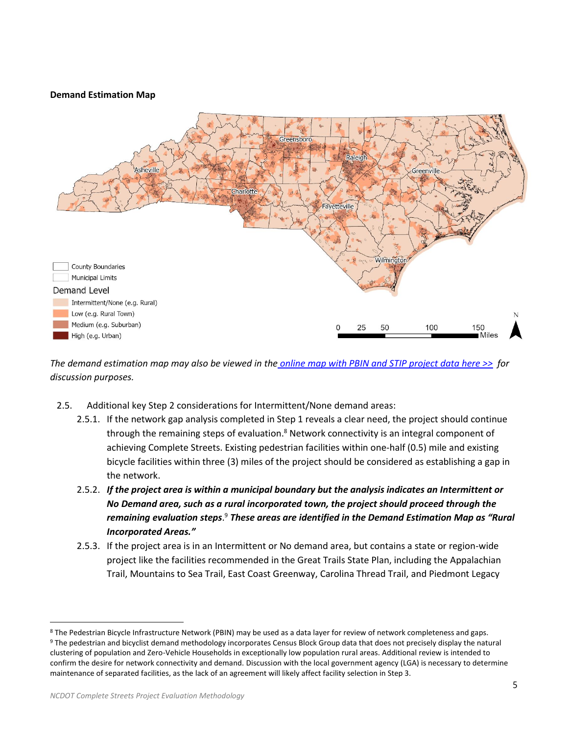# **Demand Estimation Map**



*The demand estimation map may also be viewed in the online [map with PBIN and STIP project data here >>](https://www.arcgis.com/apps/webappviewer/index.html?id=4d99643ea1354c0e9e8ad27243983bc4) for discussion purposes.*

- 2.5. Additional key Step 2 considerations for Intermittent/None demand areas:
	- 2.5.1. If the network gap analysis completed in Step 1 reveals a clear need, the project should continue through the remaining steps of evaluation.<sup>8</sup> Network connectivity is an integral component of achieving Complete Streets. Existing pedestrian facilities within one-half (0.5) mile and existing bicycle facilities within three (3) miles of the project should be considered as establishing a gap in the network.
	- 2.5.2. *If the project area is within a municipal boundary but the analysis indicates an Intermittent or No Demand area, such as a rural incorporated town, the project should proceed through the remaining evaluation steps*. <sup>9</sup> *These areas are identified in the Demand Estimation Map as "Rural Incorporated Areas."*
	- 2.5.3. If the project area is in an Intermittent or No demand area, but contains a state or region-wide project like the facilities recommended in the Great Trails State Plan, including the Appalachian Trail, Mountains to Sea Trail, East Coast Greenway, Carolina Thread Trail, and Piedmont Legacy

<sup>8</sup> The Pedestrian Bicycle Infrastructure Network (PBIN) may be used as a data layer for review of network completeness and gaps.

<sup>9</sup> The pedestrian and bicyclist demand methodology incorporates Census Block Group data that does not precisely display the natural clustering of population and Zero-Vehicle Households in exceptionally low population rural areas. Additional review is intended to confirm the desire for network connectivity and demand. Discussion with the local government agency (LGA) is necessary to determine maintenance of separated facilities, as the lack of an agreement will likely affect facility selection in Step 3.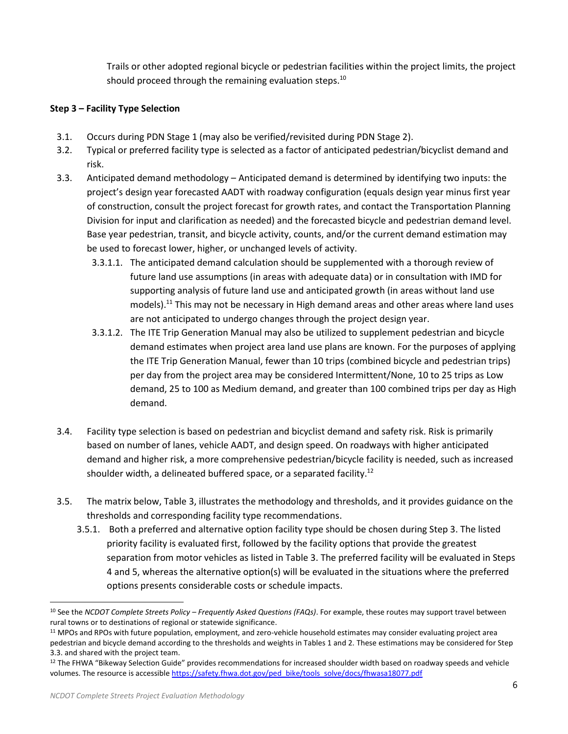Trails or other adopted regional bicycle or pedestrian facilities within the project limits, the project should proceed through the remaining evaluation steps.<sup>10</sup>

# **Step 3 – Facility Type Selection**

- 3.1. Occurs during PDN Stage 1 (may also be verified/revisited during PDN Stage 2).
- 3.2. Typical or preferred facility type is selected as a factor of anticipated pedestrian/bicyclist demand and risk.
- 3.3. Anticipated demand methodology Anticipated demand is determined by identifying two inputs: the project's design year forecasted AADT with roadway configuration (equals design year minus first year of construction, consult the project forecast for growth rates, and contact the Transportation Planning Division for input and clarification as needed) and the forecasted bicycle and pedestrian demand level. Base year pedestrian, transit, and bicycle activity, counts, and/or the current demand estimation may be used to forecast lower, higher, or unchanged levels of activity.
	- 3.3.1.1. The anticipated demand calculation should be supplemented with a thorough review of future land use assumptions (in areas with adequate data) or in consultation with IMD for supporting analysis of future land use and anticipated growth (in areas without land use models).<sup>11</sup> This may not be necessary in High demand areas and other areas where land uses are not anticipated to undergo changes through the project design year.
	- 3.3.1.2. The ITE Trip Generation Manual may also be utilized to supplement pedestrian and bicycle demand estimates when project area land use plans are known. For the purposes of applying the ITE Trip Generation Manual, fewer than 10 trips (combined bicycle and pedestrian trips) per day from the project area may be considered Intermittent/None, 10 to 25 trips as Low demand, 25 to 100 as Medium demand, and greater than 100 combined trips per day as High demand.
- 3.4. Facility type selection is based on pedestrian and bicyclist demand and safety risk. Risk is primarily based on number of lanes, vehicle AADT, and design speed. On roadways with higher anticipated demand and higher risk, a more comprehensive pedestrian/bicycle facility is needed, such as increased shoulder width, a delineated buffered space, or a separated facility.<sup>12</sup>
- 3.5. The matrix below, [Table 3,](#page-8-0) illustrates the methodology and thresholds, and it provides guidance on the thresholds and corresponding facility type recommendations.
	- 3.5.1. Both a preferred and alternative option facility type should be chosen during Step 3. The listed priority facility is evaluated first, followed by the facility options that provide the greatest separation from motor vehicles as listed in [Table 3.](#page-8-0) The preferred facility will be evaluated in Steps 4 and 5, whereas the alternative option(s) will be evaluated in the situations where the preferred options presents considerable costs or schedule impacts.

<sup>10</sup> See the *NCDOT Complete Streets Policy – Frequently Asked Questions (FAQs)*. For example, these routes may support travel between rural towns or to destinations of regional or statewide significance.

<sup>11</sup> MPOs and RPOs with future population, employment, and zero-vehicle household estimates may consider evaluating project area pedestrian and bicycle demand according to the thresholds and weights in Tables 1 and 2. These estimations may be considered for Step 3.3. and shared with the project team.

<sup>&</sup>lt;sup>12</sup> The FHWA "Bikeway Selection Guide" provides recommendations for increased shoulder width based on roadway speeds and vehicle volumes. The resource is accessibl[e https://safety.fhwa.dot.gov/ped\\_bike/tools\\_solve/docs/fhwasa18077.pdf](https://safety.fhwa.dot.gov/ped_bike/tools_solve/docs/fhwasa18077.pdf)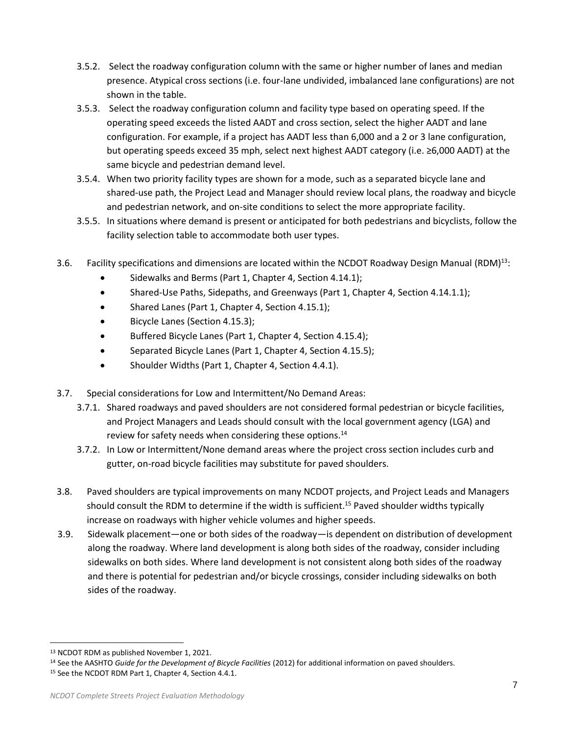- 3.5.2. Select the roadway configuration column with the same or higher number of lanes and median presence. Atypical cross sections (i.e. four-lane undivided, imbalanced lane configurations) are not shown in the table.
- 3.5.3. Select the roadway configuration column and facility type based on operating speed. If the operating speed exceeds the listed AADT and cross section, select the higher AADT and lane configuration. For example, if a project has AADT less than 6,000 and a 2 or 3 lane configuration, but operating speeds exceed 35 mph, select next highest AADT category (i.e. ≥6,000 AADT) at the same bicycle and pedestrian demand level.
- 3.5.4. When two priority facility types are shown for a mode, such as a separated bicycle lane and shared-use path, the Project Lead and Manager should review local plans, the roadway and bicycle and pedestrian network, and on-site conditions to select the more appropriate facility.
- 3.5.5. In situations where demand is present or anticipated for both pedestrians and bicyclists, follow the facility selection table to accommodate both user types.
- 3.6. Facility specifications and dimensions are located within the NCDOT Roadway Design Manual (RDM)<sup>13</sup>:
	- Sidewalks and Berms (Part 1, Chapter 4, Section 4.14.1);
	- Shared-Use Paths, Sidepaths, and Greenways (Part 1, Chapter 4, Section 4.14.1.1);
	- Shared Lanes (Part 1, Chapter 4, Section 4.15.1);
	- Bicycle Lanes (Section 4.15.3);
	- Buffered Bicycle Lanes (Part 1, Chapter 4, Section 4.15.4);
	- Separated Bicycle Lanes (Part 1, Chapter 4, Section 4.15.5);
	- Shoulder Widths (Part 1, Chapter 4, Section 4.4.1).
- 3.7. Special considerations for Low and Intermittent/No Demand Areas:
	- 3.7.1. Shared roadways and paved shoulders are not considered formal pedestrian or bicycle facilities, and Project Managers and Leads should consult with the local government agency (LGA) and review for safety needs when considering these options.<sup>14</sup>
	- 3.7.2. In Low or Intermittent/None demand areas where the project cross section includes curb and gutter, on-road bicycle facilities may substitute for paved shoulders.
- 3.8. Paved shoulders are typical improvements on many NCDOT projects, and Project Leads and Managers should consult the RDM to determine if the width is sufficient. <sup>15</sup> Paved shoulder widths typically increase on roadways with higher vehicle volumes and higher speeds.
- 3.9. Sidewalk placement—one or both sides of the roadway—is dependent on distribution of development along the roadway. Where land development is along both sides of the roadway, consider including sidewalks on both sides. Where land development is not consistent along both sides of the roadway and there is potential for pedestrian and/or bicycle crossings, consider including sidewalks on both sides of the roadway.

<sup>13</sup> NCDOT RDM as published November 1, 2021.

<sup>14</sup> See the AASHTO *Guide for the Development of Bicycle Facilities* (2012) for additional information on paved shoulders.

<sup>15</sup> See the NCDOT RDM Part 1, Chapter 4, Section 4.4.1.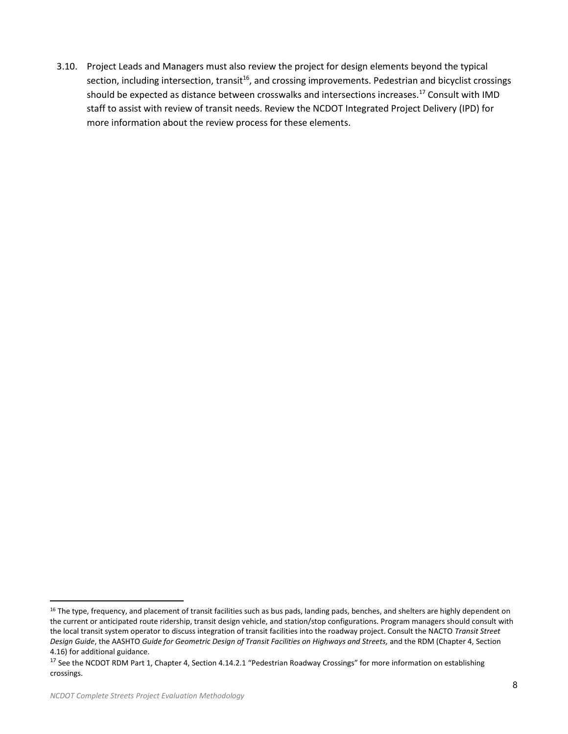3.10. Project Leads and Managers must also review the project for design elements beyond the typical section, including intersection, transit<sup>16</sup>, and crossing improvements. Pedestrian and bicyclist crossings should be expected as distance between crosswalks and intersections increases.<sup>17</sup> Consult with IMD staff to assist with review of transit needs. Review the NCDOT Integrated Project Delivery (IPD) for more information about the review process for these elements.

<sup>&</sup>lt;sup>16</sup> The type, frequency, and placement of transit facilities such as bus pads, landing pads, benches, and shelters are highly dependent on the current or anticipated route ridership, transit design vehicle, and station/stop configurations. Program managers should consult with the local transit system operator to discuss integration of transit facilities into the roadway project. Consult the NACTO *Transit Street Design Guide*, the AASHTO *Guide for Geometric Design of Transit Facilities on Highways and Streets,* and the RDM (Chapter 4, Section 4.16) for additional guidance.

<sup>&</sup>lt;sup>17</sup> See the NCDOT RDM Part 1, Chapter 4, Section 4.14.2.1 "Pedestrian Roadway Crossings" for more information on establishing crossings.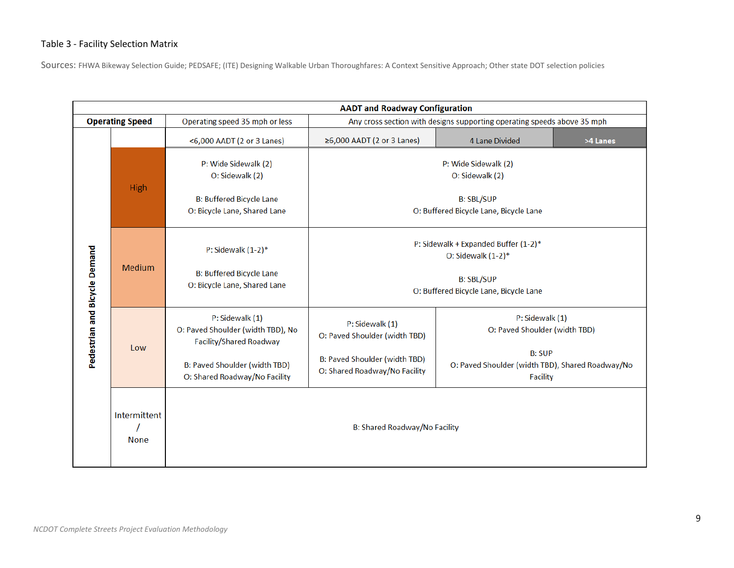# Table 3 - Facility Selection Matrix

Sources: FHWA Bikeway Selection Guide; PEDSAFE; (ITE) Designing Walkable Urban Thoroughfares: A Context Sensitive Approach; Other state DOT selection policies

<span id="page-8-0"></span>

|                               |                             | <b>AADT and Roadway Configuration</b>                                                  |                                                                         |                                                                                      |          |  |  |  |
|-------------------------------|-----------------------------|----------------------------------------------------------------------------------------|-------------------------------------------------------------------------|--------------------------------------------------------------------------------------|----------|--|--|--|
|                               | <b>Operating Speed</b>      | Operating speed 35 mph or less                                                         | Any cross section with designs supporting operating speeds above 35 mph |                                                                                      |          |  |  |  |
| Pedestrian and Bicycle Demand |                             | <6,000 AADT (2 or 3 Lanes)                                                             | ≥6,000 AADT (2 or 3 Lanes)                                              | 4 Lane Divided                                                                       | >4 Lanes |  |  |  |
|                               | <b>High</b>                 | P: Wide Sidewalk (2)<br>O: Sidewalk (2)                                                | P: Wide Sidewalk (2)<br>O: Sidewalk (2)                                 |                                                                                      |          |  |  |  |
|                               |                             | <b>B: Buffered Bicycle Lane</b><br>O: Bicycle Lane, Shared Lane                        | <b>B: SBL/SUP</b><br>O: Buffered Bicycle Lane, Bicycle Lane             |                                                                                      |          |  |  |  |
|                               | <b>Medium</b>               | P: Sidewalk $(1-2)^*$                                                                  | P: Sidewalk + Expanded Buffer (1-2)*<br>O: Sidewalk $(1-2)*$            |                                                                                      |          |  |  |  |
|                               |                             | <b>B: Buffered Bicycle Lane</b><br>O: Bicycle Lane, Shared Lane                        | <b>B: SBL/SUP</b><br>O: Buffered Bicycle Lane, Bicycle Lane             |                                                                                      |          |  |  |  |
|                               | Low                         | P: Sidewalk (1)<br>O: Paved Shoulder (width TBD), No<br><b>Facility/Shared Roadway</b> | P: Sidewalk (1)<br>O: Paved Shoulder (width TBD)                        | P: Sidewalk (1)<br>O: Paved Shoulder (width TBD)                                     |          |  |  |  |
|                               |                             | B: Paved Shoulder (width TBD)<br>O: Shared Roadway/No Facility                         | B: Paved Shoulder (width TBD)<br>O: Shared Roadway/No Facility          | <b>B: SUP</b><br>O: Paved Shoulder (width TBD), Shared Roadway/No<br><b>Facility</b> |          |  |  |  |
|                               | Intermittent<br><b>None</b> | <b>B: Shared Roadway/No Facility</b>                                                   |                                                                         |                                                                                      |          |  |  |  |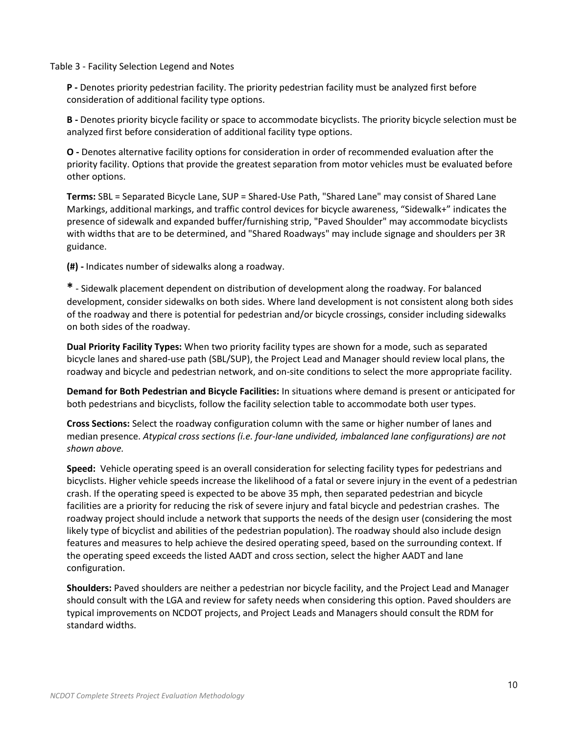#### Table 3 - Facility Selection Legend and Notes

**P -** Denotes priority pedestrian facility. The priority pedestrian facility must be analyzed first before consideration of additional facility type options.

**B -** Denotes priority bicycle facility or space to accommodate bicyclists. The priority bicycle selection must be analyzed first before consideration of additional facility type options.

**O -** Denotes alternative facility options for consideration in order of recommended evaluation after the priority facility. Options that provide the greatest separation from motor vehicles must be evaluated before other options.

**Terms:** SBL = Separated Bicycle Lane, SUP = Shared-Use Path, "Shared Lane" may consist of Shared Lane Markings, additional markings, and traffic control devices for bicycle awareness, "Sidewalk+" indicates the presence of sidewalk and expanded buffer/furnishing strip, "Paved Shoulder" may accommodate bicyclists with widths that are to be determined, and "Shared Roadways" may include signage and shoulders per 3R guidance.

**(#) -** Indicates number of sidewalks along a roadway.

**\*** - Sidewalk placement dependent on distribution of development along the roadway. For balanced development, consider sidewalks on both sides. Where land development is not consistent along both sides of the roadway and there is potential for pedestrian and/or bicycle crossings, consider including sidewalks on both sides of the roadway.

**Dual Priority Facility Types:** When two priority facility types are shown for a mode, such as separated bicycle lanes and shared-use path (SBL/SUP), the Project Lead and Manager should review local plans, the roadway and bicycle and pedestrian network, and on-site conditions to select the more appropriate facility.

**Demand for Both Pedestrian and Bicycle Facilities:** In situations where demand is present or anticipated for both pedestrians and bicyclists, follow the facility selection table to accommodate both user types.

**Cross Sections:** Select the roadway configuration column with the same or higher number of lanes and median presence. *Atypical cross sections (i.e. four-lane undivided, imbalanced lane configurations) are not shown above.*

**Speed:** Vehicle operating speed is an overall consideration for selecting facility types for pedestrians and bicyclists. Higher vehicle speeds increase the likelihood of a fatal or severe injury in the event of a pedestrian crash. If the operating speed is expected to be above 35 mph, then separated pedestrian and bicycle facilities are a priority for reducing the risk of severe injury and fatal bicycle and pedestrian crashes. The roadway project should include a network that supports the needs of the design user (considering the most likely type of bicyclist and abilities of the pedestrian population). The roadway should also include design features and measures to help achieve the desired operating speed, based on the surrounding context. If the operating speed exceeds the listed AADT and cross section, select the higher AADT and lane configuration.

**Shoulders:** Paved shoulders are neither a pedestrian nor bicycle facility, and the Project Lead and Manager should consult with the LGA and review for safety needs when considering this option. Paved shoulders are typical improvements on NCDOT projects, and Project Leads and Managers should consult the RDM for standard widths.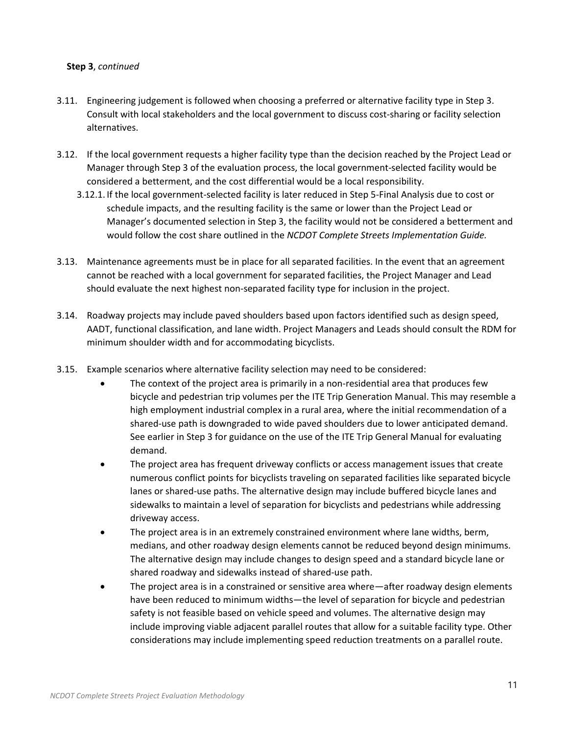#### **Step 3**, *continued*

- 3.11. Engineering judgement is followed when choosing a preferred or alternative facility type in Step 3. Consult with local stakeholders and the local government to discuss cost-sharing or facility selection alternatives.
- 3.12. If the local government requests a higher facility type than the decision reached by the Project Lead or Manager through Step 3 of the evaluation process, the local government-selected facility would be considered a betterment, and the cost differential would be a local responsibility.
	- 3.12.1. If the local government-selected facility is later reduced in Step 5-Final Analysis due to cost or schedule impacts, and the resulting facility is the same or lower than the Project Lead or Manager's documented selection in Step 3, the facility would not be considered a betterment and would follow the cost share outlined in the *NCDOT Complete Streets Implementation Guide.*
- 3.13. Maintenance agreements must be in place for all separated facilities. In the event that an agreement cannot be reached with a local government for separated facilities, the Project Manager and Lead should evaluate the next highest non-separated facility type for inclusion in the project.
- 3.14. Roadway projects may include paved shoulders based upon factors identified such as design speed, AADT, functional classification, and lane width. Project Managers and Leads should consult the RDM for minimum shoulder width and for accommodating bicyclists.
- 3.15. Example scenarios where alternative facility selection may need to be considered:
	- The context of the project area is primarily in a non-residential area that produces few bicycle and pedestrian trip volumes per the ITE Trip Generation Manual. This may resemble a high employment industrial complex in a rural area, where the initial recommendation of a shared-use path is downgraded to wide paved shoulders due to lower anticipated demand. See earlier in Step 3 for guidance on the use of the ITE Trip General Manual for evaluating demand.
	- The project area has frequent driveway conflicts or access management issues that create numerous conflict points for bicyclists traveling on separated facilities like separated bicycle lanes or shared-use paths. The alternative design may include buffered bicycle lanes and sidewalks to maintain a level of separation for bicyclists and pedestrians while addressing driveway access.
	- The project area is in an extremely constrained environment where lane widths, berm, medians, and other roadway design elements cannot be reduced beyond design minimums. The alternative design may include changes to design speed and a standard bicycle lane or shared roadway and sidewalks instead of shared-use path.
	- The project area is in a constrained or sensitive area where—after roadway design elements have been reduced to minimum widths—the level of separation for bicycle and pedestrian safety is not feasible based on vehicle speed and volumes. The alternative design may include improving viable adjacent parallel routes that allow for a suitable facility type. Other considerations may include implementing speed reduction treatments on a parallel route.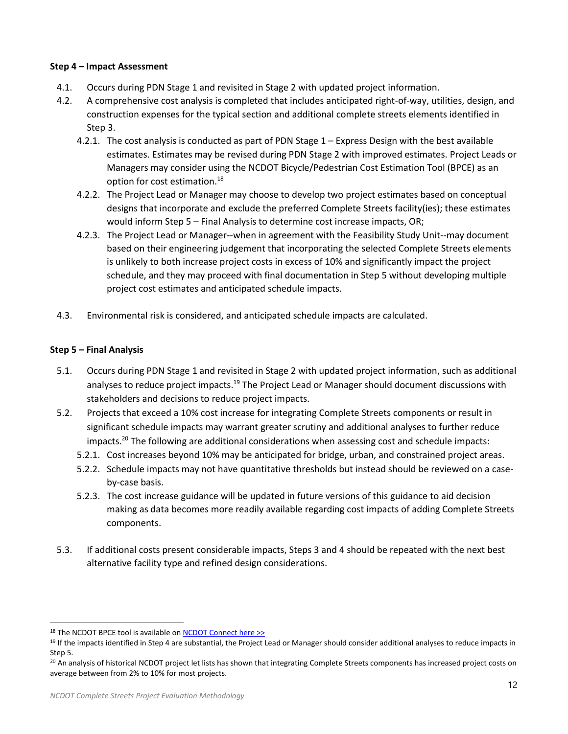#### **Step 4 – Impact Assessment**

- 4.1. Occurs during PDN Stage 1 and revisited in Stage 2 with updated project information.
- 4.2. A comprehensive cost analysis is completed that includes anticipated right-of-way, utilities, design, and construction expenses for the typical section and additional complete streets elements identified in Step 3.
	- 4.2.1. The cost analysis is conducted as part of PDN Stage 1 Express Design with the best available estimates. Estimates may be revised during PDN Stage 2 with improved estimates. Project Leads or Managers may consider using the NCDOT Bicycle/Pedestrian Cost Estimation Tool (BPCE) as an option for cost estimation.<sup>18</sup>
	- 4.2.2. The Project Lead or Manager may choose to develop two project estimates based on conceptual designs that incorporate and exclude the preferred Complete Streets facility(ies); these estimates would inform Step 5 – Final Analysis to determine cost increase impacts, OR;
	- 4.2.3. The Project Lead or Manager--when in agreement with the Feasibility Study Unit--may document based on their engineering judgement that incorporating the selected Complete Streets elements is unlikely to both increase project costs in excess of 10% and significantly impact the project schedule, and they may proceed with final documentation in Step 5 without developing multiple project cost estimates and anticipated schedule impacts.
- 4.3. Environmental risk is considered, and anticipated schedule impacts are calculated.

## **Step 5 – Final Analysis**

- 5.1. Occurs during PDN Stage 1 and revisited in Stage 2 with updated project information, such as additional analyses to reduce project impacts.<sup>19</sup> The Project Lead or Manager should document discussions with stakeholders and decisions to reduce project impacts.
- 5.2. Projects that exceed a 10% cost increase for integrating Complete Streets components or result in significant schedule impacts may warrant greater scrutiny and additional analyses to further reduce impacts.<sup>20</sup> The following are additional considerations when assessing cost and schedule impacts:
	- 5.2.1. Cost increases beyond 10% may be anticipated for bridge, urban, and constrained project areas.
	- 5.2.2. Schedule impacts may not have quantitative thresholds but instead should be reviewed on a caseby-case basis.
	- 5.2.3. The cost increase guidance will be updated in future versions of this guidance to aid decision making as data becomes more readily available regarding cost impacts of adding Complete Streets components.
- 5.3. If additional costs present considerable impacts, Steps 3 and 4 should be repeated with the next best alternative facility type and refined design considerations.

<sup>18</sup> The NCDOT BPCE tool is available o[n NCDOT Connect here >>](https://connect.ncdot.gov/projects/planning/Prioritization%20Data/Forms/AllItems.aspx?RootFolder=%2fprojects%2fplanning%2fPrioritization%20Data%2fPrioritization%206%2e0%2fNEW%20BikePed%20Cost%20Estimation%20Tool&FolderCTID=0x012000CA62F9E9CF9B92488FB244C43A53A538)

<sup>&</sup>lt;sup>19</sup> If the impacts identified in Step 4 are substantial, the Project Lead or Manager should consider additional analyses to reduce impacts in Step 5.

<sup>&</sup>lt;sup>20</sup> An analysis of historical NCDOT project let lists has shown that integrating Complete Streets components has increased project costs on average between from 2% to 10% for most projects.